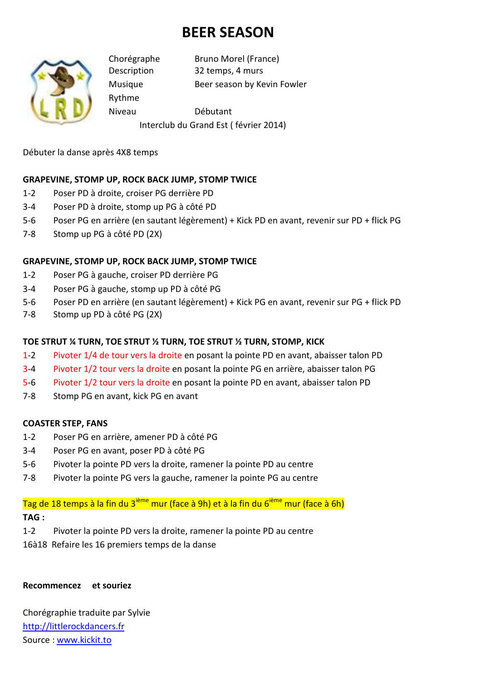# **BEER SEASON**



Rythme

Chorégraphe Bruno Morel (France) Description 32 temps, 4 murs Musique Beer season by Kevin Fowler

Niveau Débutant

Interclub du Grand Est ( février 2014)

Débuter la danse après 4X8 temps

### **GRAPEVINE, STOMP UP, ROCK BACK JUMP, STOMP TWICE**

- 1-2 Poser PD à droite, croiser PG derrière PD
- 3-4 Poser PD à droite, stomp up PG à côté PD
- 5-6 Poser PG en arrière (en sautant légèrement) + Kick PD en avant, revenir sur PD + flick PG
- 7-8 Stomp up PG à côté PD (2X)

### **GRAPEVINE, STOMP UP, ROCK BACK JUMP, STOMP TWICE**

- 1-2 Poser PG à gauche, croiser PD derrière PG
- 3-4 Poser PG à gauche, stomp up PD à côté PG
- 5-6 Poser PD en arrière (en sautant légèrement) + Kick PG en avant, revenir sur PG + flick PD
- 7-8 Stomp up PD à côté PG (2X)

### **TOE STRUT ¼ TURN, TOE STRUT ½ TURN, TOE STRUT ½ TURN, STOMP, KICK**

- 1-2 Pivoter 1/4 de tour vers la droite en posant la pointe PD en avant, abaisser talon PD
- 3-4 Pivoter 1/2 tour vers la droite en posant la pointe PG en arrière, abaisser talon PG
- 5-6 Pivoter 1/2 tour vers la droite en posant la pointe PD en avant, abaisser talon PD
- 7-8 Stomp PG en avant, kick PG en avant

### **COASTER STEP, FANS**

- 1-2 Poser PG en arrière, amener PD à côté PG
- 3-4 Poser PG en avant, poser PD à côté PG
- 5-6 Pivoter la pointe PD vers la droite, ramener la pointe PD au centre
- 7-8 Pivoter la pointe PG vers la gauche, ramener la pointe PG au centre

# Tag de 18 temps à la fin du 3<sup>ième</sup> mur (face à 9h) et à la fin du 6<sup>ième</sup> mur (face à 6h)

### **TAG :**

- 1-2 Pivoter la pointe PD vers la droite, ramener la pointe PD au centre
- 16à18 Refaire les 16 premiers temps de la danse

## **Recommencez et souriez**

Chorégraphie traduite par Sylvie http://littlerockdancers.fr Source : www.kickit.to